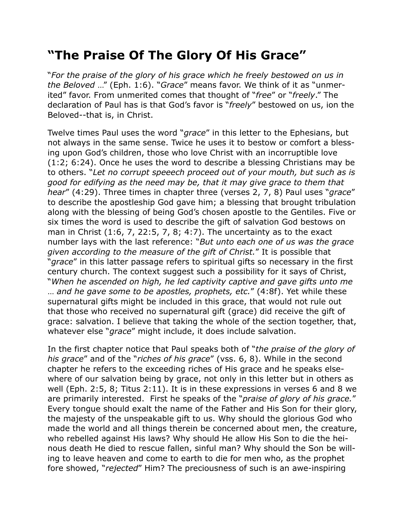## **"The Praise Of The Glory Of His Grace"**

"*For the praise of the glory of his grace which he freely bestowed on us in the Beloved* …" (Eph. 1:6). "*Grace*" means favor. We think of it as "unmerited" favor. From unmerited comes that thought of "*free*" or "*freely*." The declaration of Paul has is that God's favor is "*freely*" bestowed on us, ion the Beloved--that is, in Christ.

Twelve times Paul uses the word "*grace*" in this letter to the Ephesians, but not always in the same sense. Twice he uses it to bestow or comfort a blessing upon God's children, those who love Christ with an incorruptible love (1:2; 6:24). Once he uses the word to describe a blessing Christians may be to others. "*Let no corrupt speeech proceed out of your mouth, but such as is good for edifying as the need may be, that it may give grace to them that hear*" (4:29). Three times in chapter three (verses 2, 7, 8) Paul uses "*grace*" to describe the apostleship God gave him; a blessing that brought tribulation along with the blessing of being God's chosen apostle to the Gentiles. Five or six times the word is used to describe the gift of salvation God bestows on man in Christ (1:6, 7, 22:5, 7, 8; 4:7). The uncertainty as to the exact number lays with the last reference: "*But unto each one of us was the grace given according to the measure of the gift of Christ.*" It is possible that "*grace*" in this latter passage refers to spiritual gifts so necessary in the first century church. The context suggest such a possibility for it says of Christ, "*When he ascended on high, he led captivity captive and gave gifts unto me* … *and he gave some to be apostles, prophets, etc.*" (4:8f). Yet while these supernatural gifts might be included in this grace, that would not rule out that those who received no supernatural gift (grace) did receive the gift of grace: salvation. I believe that taking the whole of the section together, that, whatever else "*grace*" might include, it does include salvation.

In the first chapter notice that Paul speaks both of "*the praise of the glory of his grace*" and of the "*riches of his grace*" (vss. 6, 8). While in the second chapter he refers to the exceeding riches of His grace and he speaks elsewhere of our salvation being by grace, not only in this letter but in others as well (Eph. 2:5, 8; Titus 2:11). It is in these expressions in verses 6 and 8 we are primarily interested. First he speaks of the "*praise of glory of his grace.*" Every tongue should exalt the name of the Father and His Son for their glory, the majesty of the unspeakable gift to us. Why should the glorious God who made the world and all things therein be concerned about men, the creature, who rebelled against His laws? Why should He allow His Son to die the heinous death He died to rescue fallen, sinful man? Why should the Son be willing to leave heaven and come to earth to die for men who, as the prophet fore showed, "*rejected*" Him? The preciousness of such is an awe-inspiring